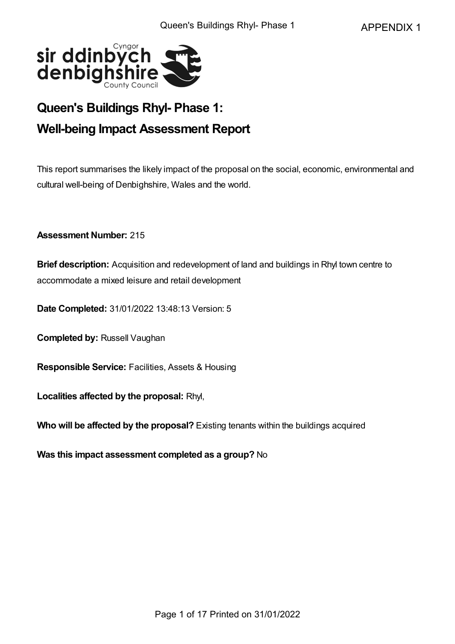

# **Queen's Buildings Rhyl- Phase 1: Well-being Impact Assessment Report**

This report summarises the likely impact of the proposal on the social, economic, environmental and cultural well-being of Denbighshire, Wales and the world.

**Assessment Number:** 215

**Brief description:** Acquisition and redevelopment of land and buildings in Rhyl town centre to accommodate a mixed leisure and retail development

**Date Completed:** 31/01/2022 13:48:13 Version: 5

**Completed by:** Russell Vaughan

**Responsible Service:** Facilities, Assets & Housing

**Localities affected by the proposal:** Rhyl,

**Who will be affected by the proposal?** Existing tenants within the buildings acquired

**Was this impact assessment completed as a group?** No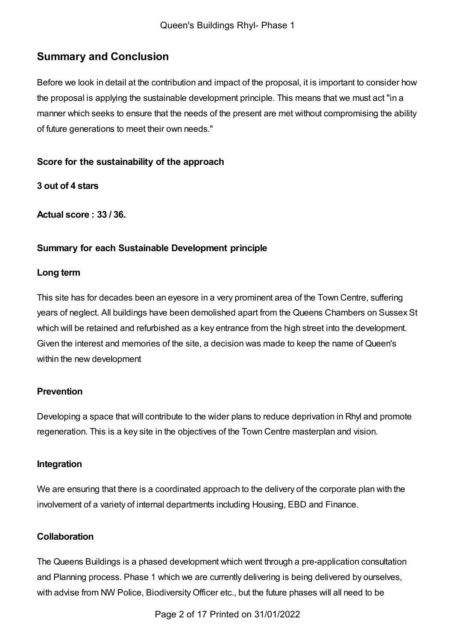## **Summary and Conclusion**

Before we look in detail at the contribution and impact of the proposal, it is important to consider how the proposal is applying the sustainable development principle. This means that we must act "in a manner which seeks to ensure that the needs of the present are met without compromising the ability of future generations to meet their own needs."

### **Score for the sustainability of the approach**

**3 out of 4 stars**

**Actual score : 33 / 36.**

## **Summary for each Sustainable Development principle**

#### **Long term**

This site has for decades been an eyesore in a very prominent area of the Town Centre, suffering years of neglect. All buildings have been demolished apart from the Queens Chambers on Sussex St which will be retained and refurbished as a key entrance from the high street into the development. Given the interest and memories of the site, a decision was made to keep the name of Queen's within the new development

## **Prevention**

Developing a space that will contribute to the wider plans to reduce deprivation in Rhyl and promote regeneration. This is a key site in the objectives of the Town Centre masterplan and vision.

#### **Integration**

We are ensuring that there is a coordinated approach to the delivery of the corporate plan with the involvement of a variety of internal departments including Housing, EBD and Finance.

#### **Collaboration**

The Queens Buildings is a phased development which went through a pre-application consultation and Planning process. Phase 1 which we are currently delivering is being delivered by ourselves, with advise from NW Police, Biodiversity Officer etc., but the future phases will all need to be

Page 2 of 17 Printed on 31/01/2022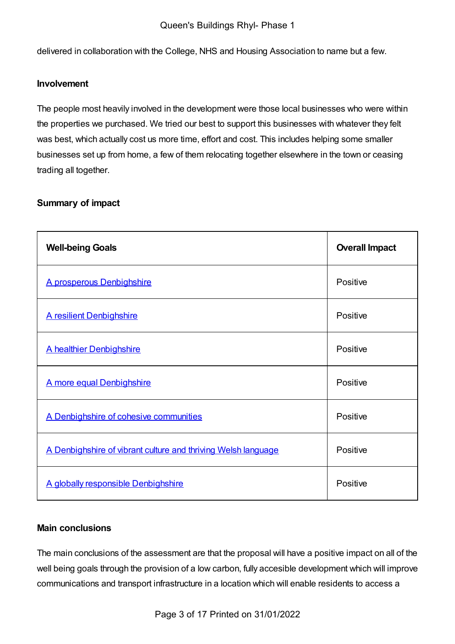delivered in collaboration with the College, NHS and Housing Association to name but a few.

#### **Involvement**

The people most heavily involved in the development were those local businesses who were within the properties we purchased. We tried our best to support this businesses with whatever they felt was best, which actually cost us more time, effort and cost. This includes helping some smaller businesses set up from home, a few of them relocating together elsewhere in the town or ceasing trading all together.

## **Summary of impact**

| <b>Well-being Goals</b>                                       | <b>Overall Impact</b> |
|---------------------------------------------------------------|-----------------------|
| A prosperous Denbighshire                                     | Positive              |
| <b>A resilient Denbighshire</b>                               | Positive              |
| A healthier Denbighshire                                      | Positive              |
| A more equal Denbighshire                                     | Positive              |
| A Denbighshire of cohesive communities                        | Positive              |
| A Denbighshire of vibrant culture and thriving Welsh language | Positive              |
| A globally responsible Denbighshire                           | Positive              |

#### **Main conclusions**

The main conclusions of the assessment are that the proposal will have a positive impact on all of the well being goals through the provision of a low carbon, fully accesible development which will improve communications and transport infrastructure in a location which will enable residents to access a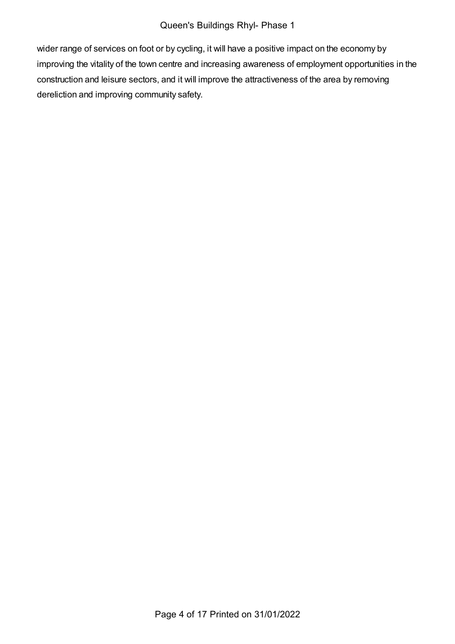wider range of services on foot or by cycling, it will have a positive impact on the economy by improving the vitality of the town centre and increasing awareness of employment opportunities in the construction and leisure sectors, and it will improve the attractiveness of the area by removing dereliction and improving community safety.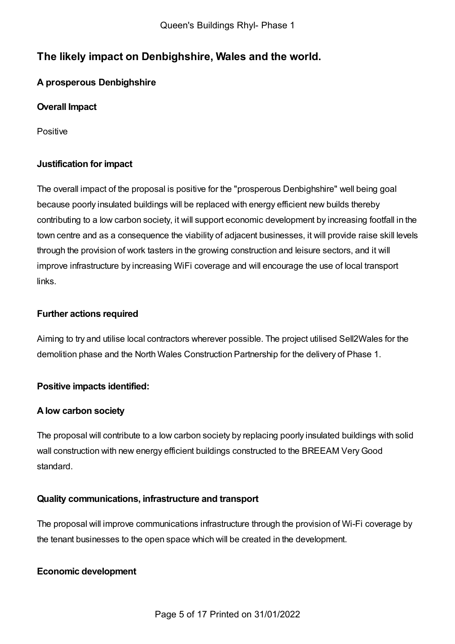## **The likely impact on Denbighshire, Wales and the world.**

## <span id="page-4-0"></span>**A prosperous Denbighshire**

## **Overall Impact**

Positive

## **Justification for impact**

The overall impact of the proposal is positive for the "prosperous Denbighshire" well being goal because poorly insulated buildings will be replaced with energy efficient new builds thereby contributing to a low carbon society, it will support economic development by increasing footfall in the town centre and as a consequence the viability of adjacent businesses, it will provide raise skill levels through the provision of work tasters in the growing construction and leisure sectors, and it will improve infrastructure by increasing WiFi coverage and will encourage the use of local transport links.

## **Further actions required**

Aiming to try and utilise local contractors wherever possible. The project utilised Sell2Wales for the demolition phase and the North Wales Construction Partnership for the delivery of Phase 1.

## **Positive impacts identified:**

## **Alow carbon society**

The proposal will contribute to a low carbon society by replacing poorly insulated buildings with solid wall construction with new energy efficient buildings constructed to the BREEAM VeryGood standard.

## **Quality communications, infrastructure and transport**

The proposal will improve communications infrastructure through the provision of Wi-Fi coverage by the tenant businesses to the open space which will be created in the development.

## **Economic development**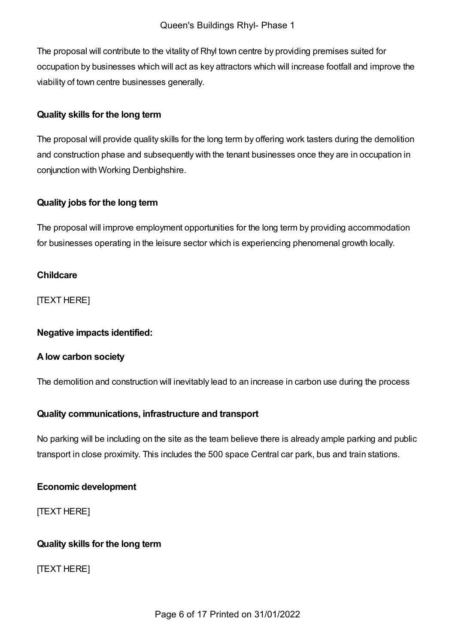The proposal will contribute to the vitality of Rhyl town centre by providing premises suited for occupation by businesses which will act as key attractors which will increase footfall and improve the viability of town centre businesses generally.

### **Quality skills for the long term**

The proposal will provide quality skills for the long term by offering work tasters during the demolition and construction phase and subsequently with the tenant businesses once they are in occupation in conjunction with Working Denbighshire.

### **Quality jobs for the long term**

The proposal will improve employment opportunities for the long term by providing accommodation for businesses operating in the leisure sector which is experiencing phenomenal growth locally.

### **Childcare**

[TEXT HERE]

#### **Negative impacts identified:**

#### **Alow carbon society**

The demolition and construction will inevitably lead to an increase in carbon use during the process

## **Quality communications, infrastructure and transport**

No parking will be including on the site as the team believe there is already ample parking and public transport in close proximity. This includes the 500 space Central car park, bus and train stations.

#### **Economic development**

[TEXT HERE]

## **Quality skills for the long term**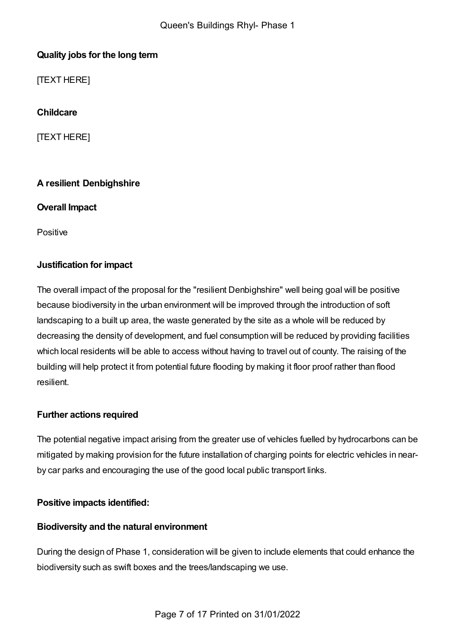## **Quality jobs for the long term**

[TEXT HERE]

**Childcare**

[TEXT HERE]

## <span id="page-6-0"></span>**A resilient Denbighshire**

### **Overall Impact**

**Positive** 

## **Justification for impact**

The overall impact of the proposal for the "resilient Denbighshire" well being goal will be positive because biodiversity in the urban environment will be improved through the introduction of soft landscaping to a built up area, the waste generated by the site as a whole will be reduced by decreasing the density of development, and fuel consumption will be reduced by providing facilities which local residents will be able to access without having to travel out of county. The raising of the building will help protect it from potential future flooding by making it floor proof rather than flood resilient.

## **Further actions required**

The potential negative impact arising from the greater use of vehicles fuelled by hydrocarbons can be mitigated by making provision for the future installation of charging points for electric vehicles in nearby car parks and encouraging the use of the good local public transport links.

## **Positive impacts identified:**

## **Biodiversity and the natural environment**

During the design of Phase 1, consideration will be given to include elements that could enhance the biodiversity such as swift boxes and the trees/landscaping we use.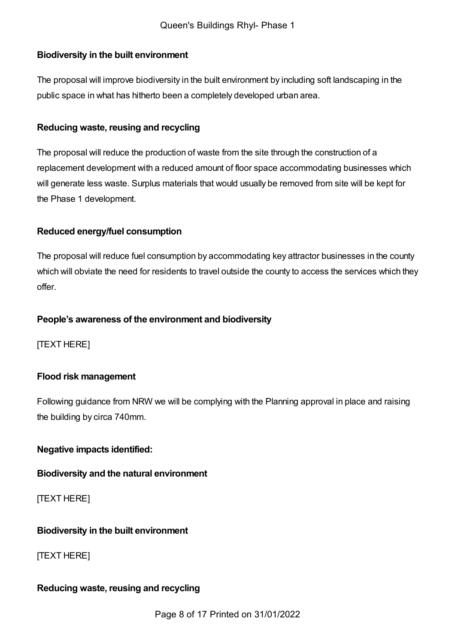## **Biodiversity in the built environment**

The proposal will improve biodiversity in the built environment by including soft landscaping in the public space in what has hitherto been a completely developed urban area.

#### **Reducing waste, reusing and recycling**

The proposal will reduce the production of waste from the site through the construction of a replacement development with a reduced amount of floor space accommodating businesses which will generate less waste. Surplus materials that would usually be removed from site will be kept for the Phase 1 development.

### **Reduced energy/fuel consumption**

The proposal will reduce fuel consumption by accommodating key attractor businesses in the county which will obviate the need for residents to travel outside the county to access the services which they offer.

### **People's awareness of the environment and biodiversity**

[TEXT HERE]

## **Flood risk management**

Following guidance from NRW we will be complying with the Planning approval in place and raising the building by circa 740mm.

## **Negative impacts identified:**

#### **Biodiversity and the natural environment**

[TEXT HERE]

#### **Biodiversity in the built environment**

[TEXT HERE]

#### **Reducing waste, reusing and recycling**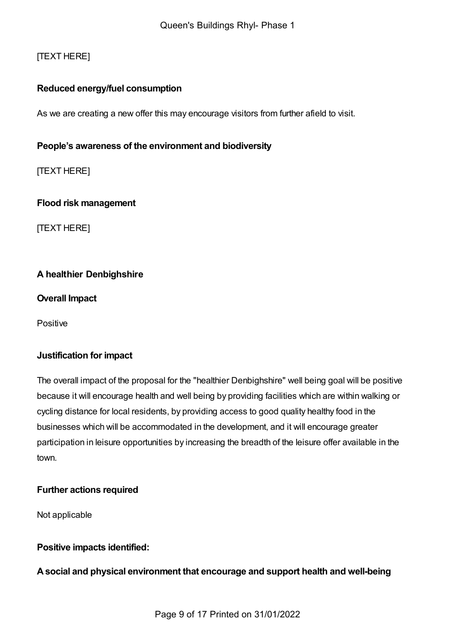## [TEXT HERE]

#### **Reduced energy/fuel consumption**

As we are creating a new offer this may encourage visitors from further afield to visit.

### **People's awareness of the environment and biodiversity**

[TEXT HERE]

**Flood risk management**

[TEXT HERE]

### <span id="page-8-0"></span>**A healthier Denbighshire**

**Overall Impact**

Positive

#### **Justification for impact**

The overall impact of the proposal for the "healthier Denbighshire" well being goal will be positive because it will encourage health and well being by providing facilities which are within walking or cycling distance for local residents, by providing access to good quality healthy food in the businesses which will be accommodated in the development, and it will encourage greater participation in leisure opportunities by increasing the breadth of the leisure offer available in the town.

#### **Further actions required**

Not applicable

#### **Positive impacts identified:**

**Asocial and physical environment that encourage and support health and well-being**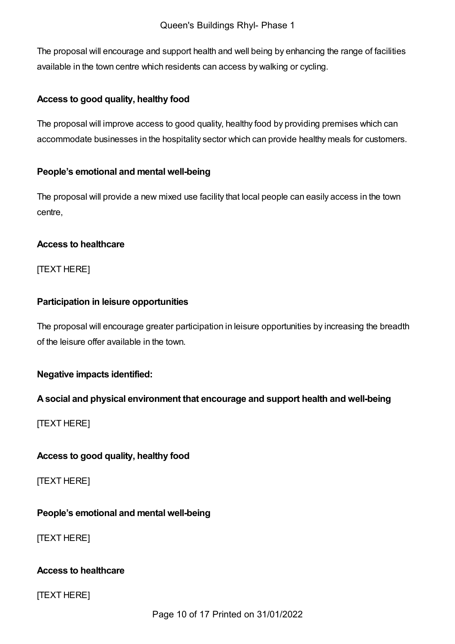The proposal will encourage and support health and well being by enhancing the range of facilities available in the town centre which residents can access by walking or cycling.

### **Access to good quality, healthy food**

The proposal will improve access to good quality, healthy food by providing premises which can accommodate businesses in the hospitality sector which can provide healthy meals for customers.

### **People's emotional and mental well-being**

The proposal will provide a new mixed use facility that local people can easily access in the town centre,

### **Access to healthcare**

[TEXT HERE]

## **Participation in leisure opportunities**

The proposal will encourage greater participation in leisure opportunities by increasing the breadth of the leisure offer available in the town.

## **Negative impacts identified:**

## **Asocial and physical environment that encourage and support health and well-being**

[TEXT HERE]

## **Access to good quality, healthy food**

[TEXT HERE]

## **People's emotional and mental well-being**

[TEXT HERE]

#### **Access to healthcare**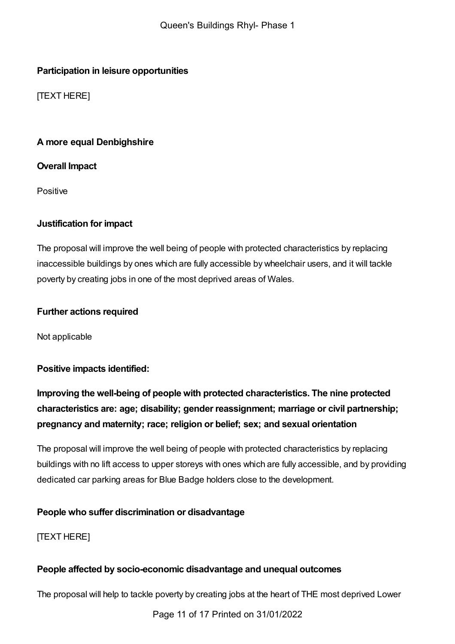## **Participation in leisure opportunities**

[TEXT HERE]

## <span id="page-10-0"></span>**A more equal Denbighshire**

## **Overall Impact**

Positive

## **Justification for impact**

The proposal will improve the well being of people with protected characteristics by replacing inaccessible buildings by ones which are fully accessible by wheelchair users, and it will tackle poverty by creating jobs in one of the most deprived areas of Wales.

## **Further actions required**

Not applicable

## **Positive impacts identified:**

**Improving the well-being of people with protected characteristics. The nine protected characteristics are: age; disability; gender reassignment; marriage or civil partnership; pregnancy and maternity; race; religion or belief; sex; and sexual orientation**

The proposal will improve the well being of people with protected characteristics by replacing buildings with no lift access to upper storeys with ones which are fully accessible, and by providing dedicated car parking areas for Blue Badge holders close to the development.

## **People who suffer discrimination or disadvantage**

[TEXT HERE]

## **People affected by socio-economic disadvantage and unequal outcomes**

The proposal will help to tackle poverty by creating jobs at the heart of THE most deprived Lower

Page 11 of 17 Printed on 31/01/2022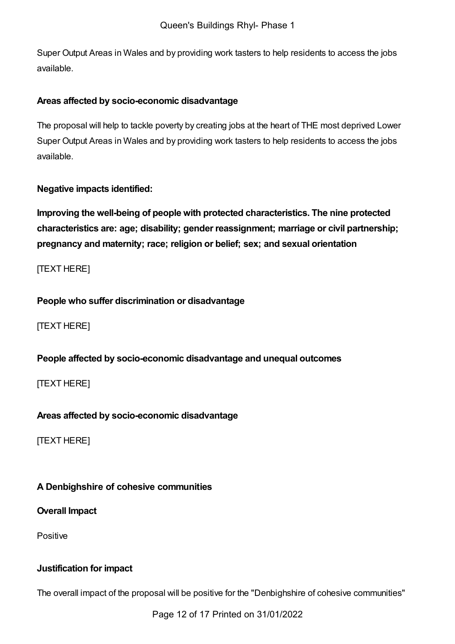Super Output Areas in Wales and by providing work tasters to help residents to access the jobs available.

### **Areas affected by socio-economic disadvantage**

The proposal will help to tackle poverty by creating jobs at the heart of THE most deprived Lower Super Output Areas in Wales and by providing work tasters to help residents to access the jobs available.

## **Negative impacts identified:**

**Improving the well-being of people with protected characteristics. The nine protected characteristics are: age; disability; gender reassignment; marriage or civil partnership; pregnancy and maternity; race; religion or belief; sex; and sexual orientation**

[TEXT HERE]

### **People who suffer discrimination or disadvantage**

[TEXT HERE]

## **People affected by socio-economic disadvantage and unequal outcomes**

[TEXT HERE]

## **Areas affected by socio-economic disadvantage**

[TEXT HERE]

## <span id="page-11-0"></span>**A Denbighshire of cohesive communities**

**Overall Impact**

Positive

## **Justification for impact**

The overall impact of the proposal will be positive for the "Denbighshire of cohesive communities"

Page 12 of 17 Printed on 31/01/2022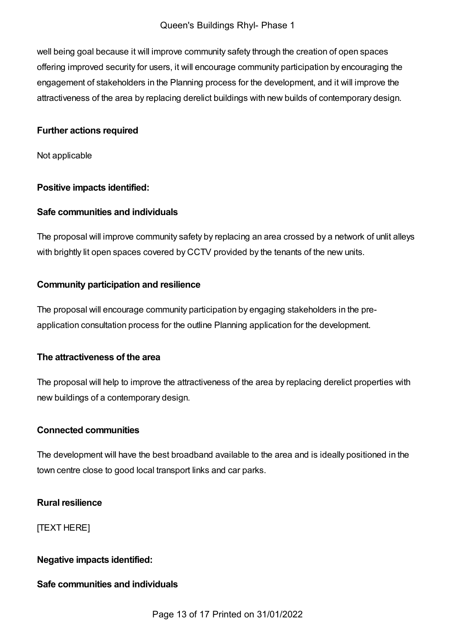#### Queen's Buildings Rhyl- Phase 1

well being goal because it will improve community safety through the creation of open spaces offering improved security for users, it will encourage community participation by encouraging the engagement of stakeholders in the Planning process for the development, and it will improve the attractiveness of the area by replacing derelict buildings with new builds of contemporary design.

#### **Further actions required**

Not applicable

### **Positive impacts identified:**

### **Safe communities and individuals**

The proposal will improve community safety by replacing an area crossed by a network of unlit alleys with brightly lit open spaces covered by CCTV provided by the tenants of the new units.

### **Community participation and resilience**

The proposal will encourage community participation by engaging stakeholders in the preapplication consultation process for the outline Planning application for the development.

#### **The attractiveness of the area**

The proposal will help to improve the attractiveness of the area by replacing derelict properties with new buildings of a contemporary design.

#### **Connected communities**

The development will have the best broadband available to the area and is ideally positioned in the town centre close to good local transport links and car parks.

## **Rural resilience**

[TEXT HERE]

## **Negative impacts identified:**

#### **Safe communities and individuals**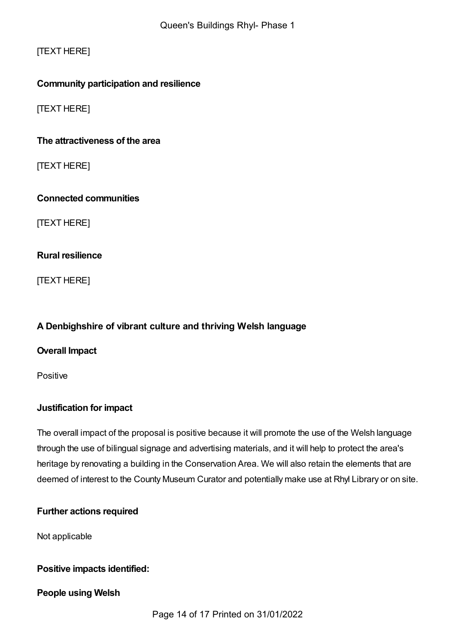[TEXT HERE]

## **Community participation and resilience**

[TEXT HERE]

## **The attractiveness of the area**

[TEXT HERE]

### **Connected communities**

[TEXT HERE]

### **Rural resilience**

[TEXT HERE]

## <span id="page-13-0"></span>**A Denbighshire of vibrant culture and thriving Welsh language**

#### **Overall Impact**

Positive

## **Justification for impact**

The overall impact of the proposal is positive because it will promote the use of the Welsh language through the use of bilingual signage and advertising materials, and it will help to protect the area's heritage by renovating a building in the Conservation Area. We will also retain the elements that are deemed of interest to the County Museum Curator and potentially make use at Rhyl Library or on site.

## **Further actions required**

Not applicable

#### **Positive impacts identified:**

#### **People using Welsh**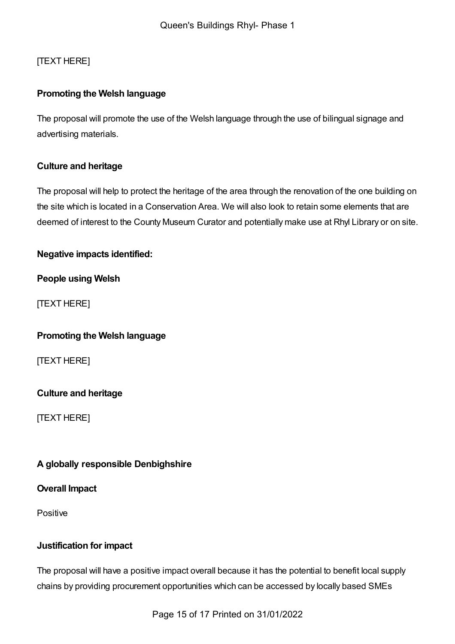## [TEXT HERE]

## **Promoting the Welsh language**

The proposal will promote the use of the Welsh language through the use of bilingual signage and advertising materials.

### **Culture and heritage**

The proposal will help to protect the heritage of the area through the renovation of the one building on the site which is located in a Conservation Area. We will also look to retain some elements that are deemed of interest to the County Museum Curator and potentially make use at Rhyl Library or on site.

### **Negative impacts identified:**

**People using Welsh**

[TEXT HERE]

#### **Promoting the Welsh language**

[TEXT HERE]

#### **Culture and heritage**

[TEXT HERE]

#### <span id="page-14-0"></span>**A globally responsible Denbighshire**

#### **Overall Impact**

Positive

#### **Justification for impact**

The proposal will have a positive impact overall because it has the potential to benefit local supply chains by providing procurement opportunities which can be accessed by locally based SMEs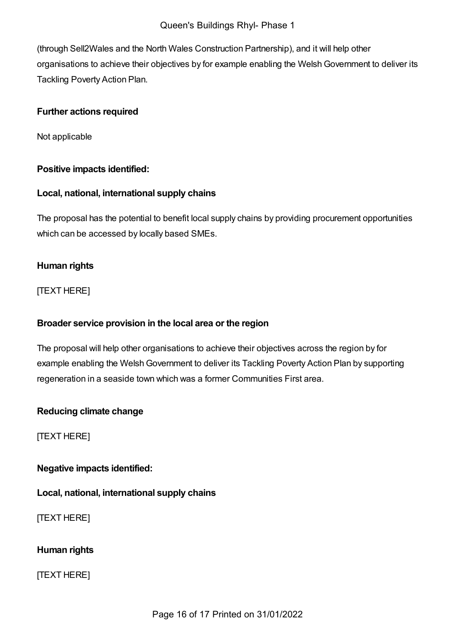(through Sell2Wales and the North Wales Construction Partnership), and it will help other organisations to achieve their objectives by for example enabling the WelshGovernment to deliver its Tackling Poverty Action Plan.

### **Further actions required**

Not applicable

### **Positive impacts identified:**

### **Local, national, international supply chains**

The proposal has the potential to benefit local supply chains by providing procurement opportunities which can be accessed by locally based SMEs.

## **Human rights**

[TEXT HERE]

#### **Broader service provision in the local area or the region**

The proposal will help other organisations to achieve their objectives across the region by for example enabling the Welsh Government to deliver its Tackling Poverty Action Plan by supporting regeneration in a seaside town which was a former Communities First area.

## **Reducing climate change**

[TEXT HERE]

**Negative impacts identified:**

**Local, national, international supply chains**

[TEXT HERE]

## **Human rights**